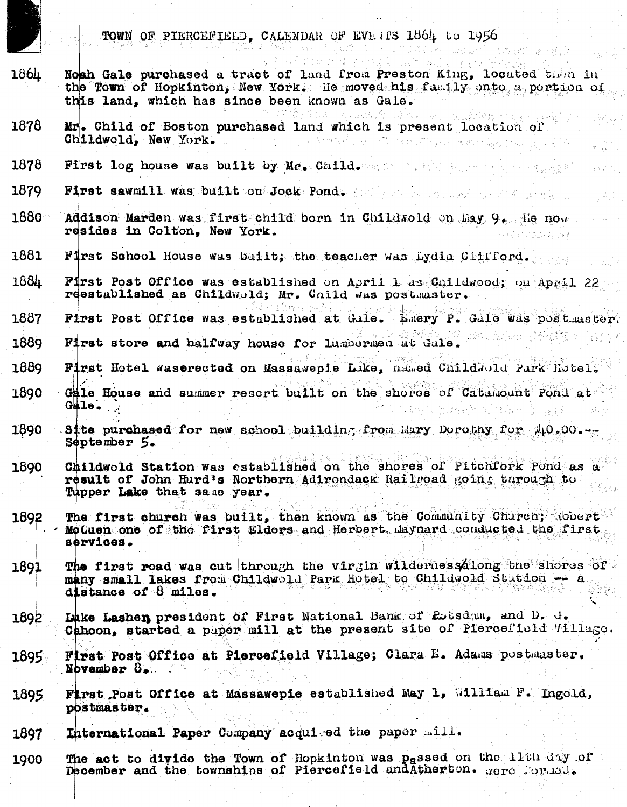|       | TOWN OF PIERCEFIELD, CALENDAR OF EVENTS 1864 to 1956                                                                                                                                               |
|-------|----------------------------------------------------------------------------------------------------------------------------------------------------------------------------------------------------|
| 1864. | Noah Gale purchased a tract of land from Preston King, located then in<br>the Town of Hopkinton, New York. He moved his family onto a portion of<br>this land, which has since been known as Gale. |
| 1878  | Mr. Child of Boston purchased land which is present location of<br>Childwold, New York.<br>- Nordedla starkijal starajija u meterija koja u prijektija                                             |
| 1878  | First log house was built by Mr. Child. Most fails before the series                                                                                                                               |
| 1879  | First sawmill was built on Jock Pond. The research service are the                                                                                                                                 |
| 1880  | Addison Marden was first child born in Childwold on May 9. He now<br>resides in Colton, New York.                                                                                                  |
| 1881  | First School House was built; the teacher was iydig Clifford.                                                                                                                                      |
| 1884  | First Post Office was established on April 1 as Childwood; on April 22<br>reestablished as Childwold; Mr. Child was postmaster.                                                                    |
| 1887  | First Post Office was established at Gale. Emery P. Gale was postmaster.                                                                                                                           |
| 1889  | First store and halfway house for lumbermen at Gale.                                                                                                                                               |
| 1889  | First Hotel waserected on Massawepie Luke, named Childwold Park Hotel.                                                                                                                             |
| 1890  | Gale House and summer resort built on the shores of Catamount Pond at<br>$G = I$                                                                                                                   |
| 1890  | Site purchased for new school building from Mary Dorothy for $\sqrt{10.00}$<br>September 5.                                                                                                        |
| 1890  | Childwold Station was established on the shores of Pitchfork Pond as a<br>result of John Hurd's Northern Adirondack Railroad going through to<br>Tupper Lake that same year.                       |
| 1892  | The first church was built, then known as the Community Church; Robert<br>- McCuen one of the first Elders and Herbert Laynard conducted the first<br>services.                                    |
| 1891  | The first road was cut through the virgin wildernessalong the shores of<br>many small lakes from Childwold Park Hotel to Childwold Station -- a<br>distance of 8 miles.                            |
| 1892  | Luke Lashen president of First National Bank of Rousdam, and D. d.<br>Cahoon, started a paper mill at the present site of Piercefield Village.                                                     |
| 1895  | First Post Office at Piercefield Village; Clara E. Adams postmaster.<br>November 8.                                                                                                                |
| 1895  | First Post Office at Massawepie established May 1, William F. Ingold,<br>postmaster.                                                                                                               |

International Paper Company acquised the paper mill. 1897

The act to divide the Town of Hopkinton was passed on the lith day of December and the townships of Piercefield and Atherton. Were formed. 1900